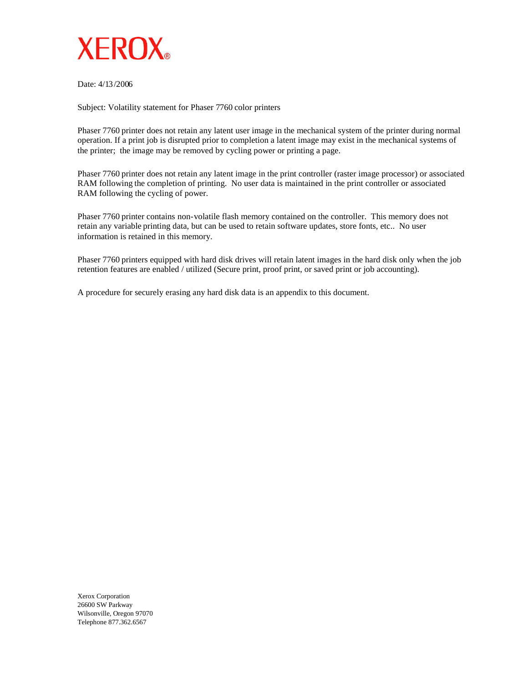

Date: 4/13/2006

Subject: Volatility statement for Phaser 7760 color printers

Phaser 7760 printer does not retain any latent user image in the mechanical system of the printer during normal operation. If a print job is disrupted prior to completion a latent image may exist in the mechanical systems of the printer; the image may be removed by cycling power or printing a page.

Phaser 7760 printer does not retain any latent image in the print controller (raster image processor) or associated RAM following the completion of printing. No user data is maintained in the print controller or associated RAM following the cycling of power.

Phaser 7760 printer contains non-volatile flash memory contained on the controller. This memory does not retain any variable printing data, but can be used to retain software updates, store fonts, etc.. No user information is retained in this memory.

Phaser 7760 printers equipped with hard disk drives will retain latent images in the hard disk only when the job retention features are enabled / utilized (Secure print, proof print, or saved print or job accounting).

A procedure for securely erasing any hard disk data is an appendix to this document.

Xerox Corporation 26600 SW Parkway Wilsonville, Oregon 97070 Telephone 877.362.6567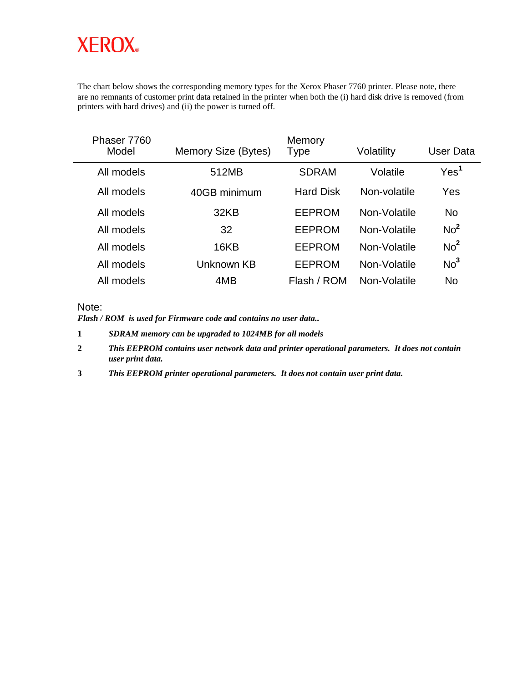# **XEROX**

The chart below shows the corresponding memory types for the Xerox Phaser 7760 printer. Please note, there are no remnants of customer print data retained in the printer when both the (i) hard disk drive is removed (from printers with hard drives) and (ii) the power is turned off.

| Phaser 7760<br>Model | Memory Size (Bytes) | Memory<br>Type   | Volatility   | User Data        |
|----------------------|---------------------|------------------|--------------|------------------|
| All models           | 512MB               | <b>SDRAM</b>     | Volatile     | Yes <sup>1</sup> |
| All models           | 40GB minimum        | <b>Hard Disk</b> | Non-volatile | Yes              |
| All models           | 32KB                | <b>EEPROM</b>    | Non-Volatile | <b>No</b>        |
| All models           | 32                  | <b>EEPROM</b>    | Non-Volatile | No <sup>2</sup>  |
| All models           | 16KB                | <b>EEPROM</b>    | Non-Volatile | No <sup>2</sup>  |
| All models           | Unknown KB          | <b>EEPROM</b>    | Non-Volatile | No <sup>3</sup>  |
| All models           | 4MB                 | Flash / ROM      | Non-Volatile | <b>No</b>        |

#### Note:

*Flash / ROM is used for Firmware code and contains no user data..*

**1** *SDRAM memory can be upgraded to 1024MB for all models*

- **2** *This EEPROM contains user network data and printer operational parameters. It does not contain user print data.*
- **3** *This EEPROM printer operational parameters. It does not contain user print data.*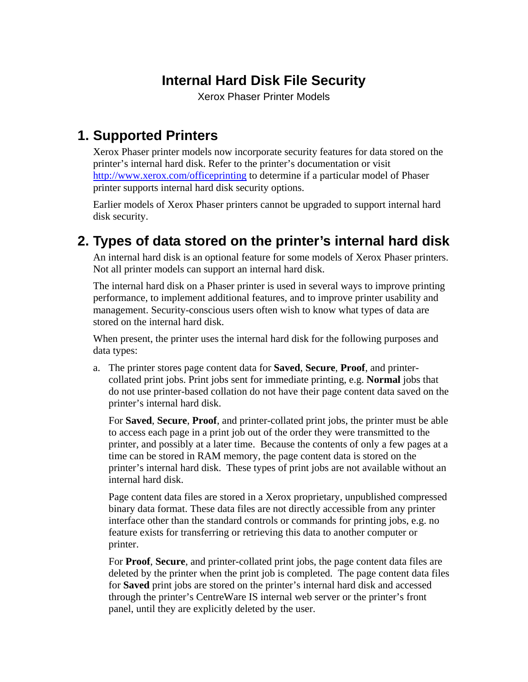# **Internal Hard Disk File Security**

Xerox Phaser Printer Models

#### **1. Supported Printers**

Xerox Phaser printer models now incorporate security features for data stored on the printer's internal hard disk. Refer to the printer's documentation or visit <http://www.xerox.com/officeprinting>to determine if a particular model of Phaser printer supports internal hard disk security options.

Earlier models of Xerox Phaser printers cannot be upgraded to support internal hard disk security.

### **2. Types of data stored on the printer's internal hard disk**

An internal hard disk is an optional feature for some models of Xerox Phaser printers. Not all printer models can support an internal hard disk.

The internal hard disk on a Phaser printer is used in several ways to improve printing performance, to implement additional features, and to improve printer usability and management. Security-conscious users often wish to know what types of data are stored on the internal hard disk.

When present, the printer uses the internal hard disk for the following purposes and data types:

a. The printer stores page content data for **Saved**, **Secure**, **Proof**, and printercollated print jobs. Print jobs sent for immediate printing, e.g. **Normal** jobs that do not use printer-based collation do not have their page content data saved on the printer's internal hard disk.

For **Saved**, **Secure**, **Proof**, and printer-collated print jobs, the printer must be able to access each page in a print job out of the order they were transmitted to the printer, and possibly at a later time. Because the contents of only a few pages at a time can be stored in RAM memory, the page content data is stored on the printer's internal hard disk. These types of print jobs are not available without an internal hard disk.

Page content data files are stored in a Xerox proprietary, unpublished compressed binary data format. These data files are not directly accessible from any printer interface other than the standard controls or commands for printing jobs, e.g. no feature exists for transferring or retrieving this data to another computer or printer.

For **Proof**, **Secure**, and printer-collated print jobs, the page content data files are deleted by the printer when the print job is completed. The page content data files for **Saved** print jobs are stored on the printer's internal hard disk and accessed through the printer's CentreWare IS internal web server or the printer's front panel, until they are explicitly deleted by the user.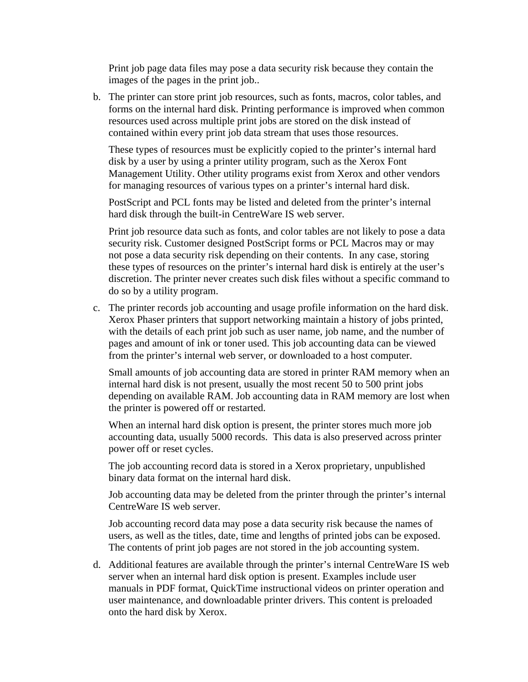Print job page data files may pose a data security risk because they contain the images of the pages in the print job..

b. The printer can store print job resources, such as fonts, macros, color tables, and forms on the internal hard disk. Printing performance is improved when common resources used across multiple print jobs are stored on the disk instead of contained within every print job data stream that uses those resources.

These types of resources must be explicitly copied to the printer's internal hard disk by a user by using a printer utility program, such as the Xerox Font Management Utility. Other utility programs exist from Xerox and other vendors for managing resources of various types on a printer's internal hard disk.

PostScript and PCL fonts may be listed and deleted from the printer's internal hard disk through the built-in CentreWare IS web server.

Print job resource data such as fonts, and color tables are not likely to pose a data security risk. Customer designed PostScript forms or PCL Macros may or may not pose a data security risk depending on their contents. In any case, storing these types of resources on the printer's internal hard disk is entirely at the user's discretion. The printer never creates such disk files without a specific command to do so by a utility program.

c. The printer records job accounting and usage profile information on the hard disk. Xerox Phaser printers that support networking maintain a history of jobs printed, with the details of each print job such as user name, job name, and the number of pages and amount of ink or toner used. This job accounting data can be viewed from the printer's internal web server, or downloaded to a host computer.

Small amounts of job accounting data are stored in printer RAM memory when an internal hard disk is not present, usually the most recent 50 to 500 print jobs depending on available RAM. Job accounting data in RAM memory are lost when the printer is powered off or restarted.

When an internal hard disk option is present, the printer stores much more job accounting data, usually 5000 records. This data is also preserved across printer power off or reset cycles.

The job accounting record data is stored in a Xerox proprietary, unpublished binary data format on the internal hard disk.

Job accounting data may be deleted from the printer through the printer's internal CentreWare IS web server.

Job accounting record data may pose a data security risk because the names of users, as well as the titles, date, time and lengths of printed jobs can be exposed. The contents of print job pages are not stored in the job accounting system.

d. Additional features are available through the printer's internal CentreWare IS web server when an internal hard disk option is present. Examples include user manuals in PDF format, QuickTime instructional videos on printer operation and user maintenance, and downloadable printer drivers. This content is preloaded onto the hard disk by Xerox.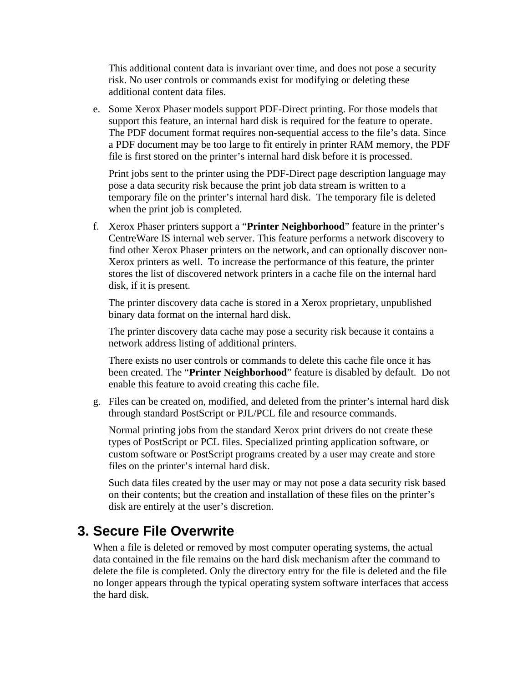This additional content data is invariant over time, and does not pose a security risk. No user controls or commands exist for modifying or deleting these additional content data files.

e. Some Xerox Phaser models support PDF-Direct printing. For those models that support this feature, an internal hard disk is required for the feature to operate. The PDF document format requires non-sequential access to the file's data. Since a PDF document may be too large to fit entirely in printer RAM memory, the PDF file is first stored on the printer's internal hard disk before it is processed.

Print jobs sent to the printer using the PDF-Direct page description language may pose a data security risk because the print job data stream is written to a temporary file on the printer's internal hard disk. The temporary file is deleted when the print job is completed.

f. Xerox Phaser printers support a "**Printer Neighborhood**" feature in the printer's CentreWare IS internal web server. This feature performs a network discovery to find other Xerox Phaser printers on the network, and can optionally discover non-Xerox printers as well. To increase the performance of this feature, the printer stores the list of discovered network printers in a cache file on the internal hard disk, if it is present.

The printer discovery data cache is stored in a Xerox proprietary, unpublished binary data format on the internal hard disk.

The printer discovery data cache may pose a security risk because it contains a network address listing of additional printers.

There exists no user controls or commands to delete this cache file once it has been created. The "**Printer Neighborhood**" feature is disabled by default. Do not enable this feature to avoid creating this cache file.

g. Files can be created on, modified, and deleted from the printer's internal hard disk through standard PostScript or PJL/PCL file and resource commands.

Normal printing jobs from the standard Xerox print drivers do not create these types of PostScript or PCL files. Specialized printing application software, or custom software or PostScript programs created by a user may create and store files on the printer's internal hard disk.

Such data files created by the user may or may not pose a data security risk based on their contents; but the creation and installation of these files on the printer's disk are entirely at the user's discretion.

#### **3. Secure File Overwrite**

When a file is deleted or removed by most computer operating systems, the actual data contained in the file remains on the hard disk mechanism after the command to delete the file is completed. Only the directory entry for the file is deleted and the file no longer appears through the typical operating system software interfaces that access the hard disk.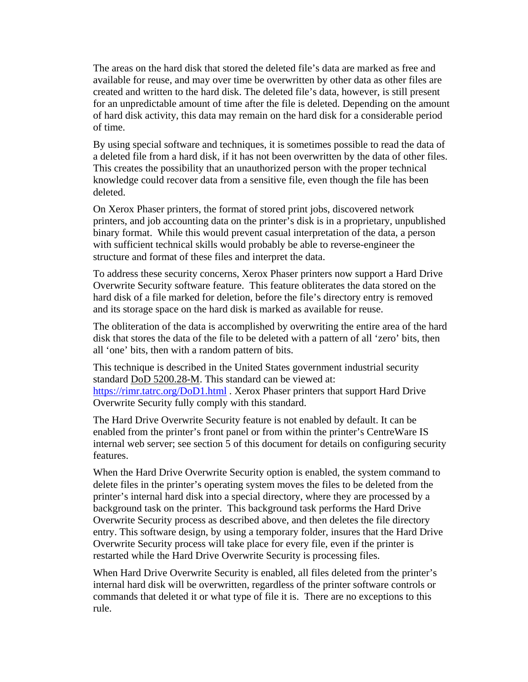The areas on the hard disk that stored the deleted file's data are marked as free and available for reuse, and may over time be overwritten by other data as other files are created and written to the hard disk. The deleted file's data, however, is still present for an unpredictable amount of time after the file is deleted. Depending on the amount of hard disk activity, this data may remain on the hard disk for a considerable period of time.

By using special software and techniques, it is sometimes possible to read the data of a deleted file from a hard disk, if it has not been overwritten by the data of other files. This creates the possibility that an unauthorized person with the proper technical knowledge could recover data from a sensitive file, even though the file has been deleted.

On Xerox Phaser printers, the format of stored print jobs, discovered network printers, and job accounting data on the printer's disk is in a proprietary, unpublished binary format. While this would prevent casual interpretation of the data, a person with sufficient technical skills would probably be able to reverse-engineer the structure and format of these files and interpret the data.

To address these security concerns, Xerox Phaser printers now support a Hard Drive Overwrite Security software feature. This feature obliterates the data stored on the hard disk of a file marked for deletion, before the file's directory entry is removed and its storage space on the hard disk is marked as available for reuse.

The obliteration of the data is accomplished by overwriting the entire area of the hard disk that stores the data of the file to be deleted with a pattern of all 'zero' bits, then all 'one' bits, then with a random pattern of bits.

This technique is described in the United States government industrial security standard DoD 5200.28-M. This [s](https://rimr.tatrc.org/DoD1.html)tandard can be viewed at: https://rimr.tatrc.org/DoD1.html . Xerox Phaser printers that support Hard Drive Overwrite Security fully comply with this standard.

The Hard Drive Overwrite Security feature is not enabled by default. It can be enabled from the printer's front panel or from within the printer's CentreWare IS internal web server; see section 5 of this document for details on configuring security features.

When the Hard Drive Overwrite Security option is enabled, the system command to delete files in the printer's operating system moves the files to be deleted from the printer's internal hard disk into a special directory, where they are processed by a background task on the printer. This background task performs the Hard Drive Overwrite Security process as described above, and then deletes the file directory entry. This software design, by using a temporary folder, insures that the Hard Drive Overwrite Security process will take place for every file, even if the printer is restarted while the Hard Drive Overwrite Security is processing files.

When Hard Drive Overwrite Security is enabled, all files deleted from the printer's internal hard disk will be overwritten, regardless of the printer software controls or commands that deleted it or what type of file it is. There are no exceptions to this rule.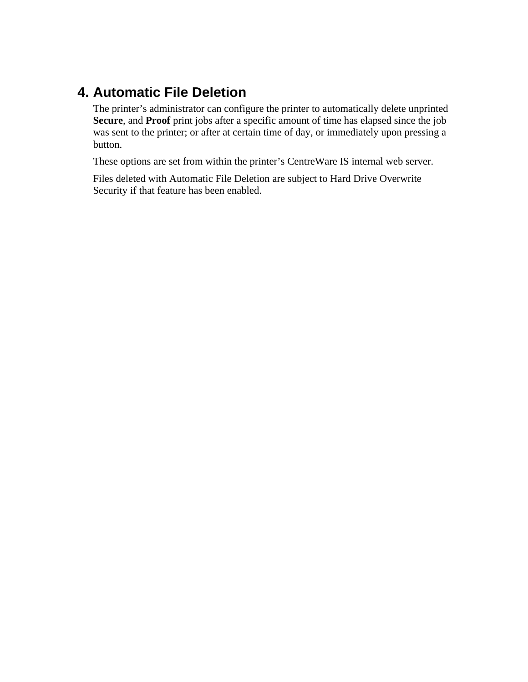## **4. Automatic File Deletion**

The printer's administrator can configure the printer to automatically delete unprinted **Secure**, and **Proof** print jobs after a specific amount of time has elapsed since the job was sent to the printer; or after at certain time of day, or immediately upon pressing a button.

These options are set from within the printer's CentreWare IS internal web server.

Files deleted with Automatic File Deletion are subject to Hard Drive Overwrite Security if that feature has been enabled.